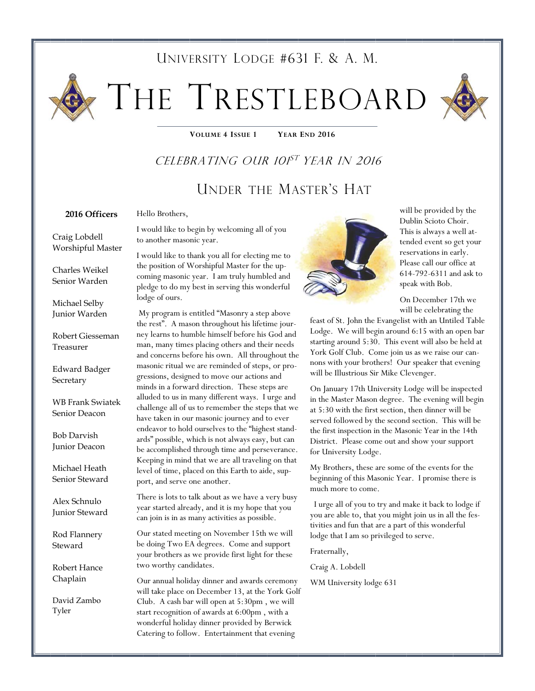# UNIVERSITY LODGE #631 F. & A. M.

# THE TRESTLEBOARD

**VOLUME 4 ISSUE 1 YEAR END 2016** 

# CELEBRATING OUR 101<sup>ST</sup> YEAR IN 2016

# UNDER THE MASTER'S HAT

#### **2016 Officers**

#### Hello Brothers,

I would like to begin by welcoming all of you to another masonic year.

I would like to thank you all for electing me to the position of Worshipful Master for the upcoming masonic year. I am truly humbled and pledge to do my best in serving this wonderful lodge of ours.

 My program is entitled "Masonry a step above the rest". A mason throughout his lifetime journey learns to humble himself before his God and man, many times placing others and their needs and concerns before his own. All throughout the masonic ritual we are reminded of steps, or progressions, designed to move our actions and minds in a forward direction. These steps are alluded to us in many different ways. I urge and challenge all of us to remember the steps that we have taken in our masonic journey and to ever endeavor to hold ourselves to the "highest standards" possible, which is not always easy, but can be accomplished through time and perseverance. Keeping in mind that we are all traveling on that level of time, placed on this Earth to aide, support, and serve one another.

There is lots to talk about as we have a very busy year started already, and it is my hope that you can join is in as many activities as possible.

Our stated meeting on November 15th we will be doing Two EA degrees. Come and support your brothers as we provide first light for these two worthy candidates.

Our annual holiday dinner and awards ceremony will take place on December 13, at the York Golf Club. A cash bar will open at 5:30pm , we will start recognition of awards at 6:00pm , with a wonderful holiday dinner provided by Berwick Catering to follow. Entertainment that evening



will be provided by the Dublin Scioto Choir. This is always a well attended event so get your reservations in early. Please call our office at 614-792-6311 and ask to speak with Bob.

On December 17th we will be celebrating the

feast of St. John the Evangelist with an Untiled Table Lodge. We will begin around 6:15 with an open bar starting around 5:30. This event will also be held at York Golf Club. Come join us as we raise our cannons with your brothers! Our speaker that evening will be Illustrious Sir Mike Clevenger.

On January 17th University Lodge will be inspected in the Master Mason degree. The evening will begin at 5:30 with the first section, then dinner will be served followed by the second section. This will be the first inspection in the Masonic Year in the 14th District. Please come out and show your support for University Lodge.

My Brothers, these are some of the events for the beginning of this Masonic Year. I promise there is much more to come.

 I urge all of you to try and make it back to lodge if you are able to, that you might join us in all the festivities and fun that are a part of this wonderful lodge that I am so privileged to serve.

Fraternally,

Craig A. Lobdell

WM University lodge 631

Craig Lobdell Worshipful Master

Charles Weikel Senior Warden

Michael Selby Junior Warden

Robert Giesseman Treasurer

Edward Badger **Secretary** 

WB Frank Swiatek Senior Deacon

Bob Darvish Junior Deacon

Michael Heath Senior Steward

Alex Schnulo Junior Steward

Rod Flannery Steward

Robert Hance Chaplain

David Zambo Tyler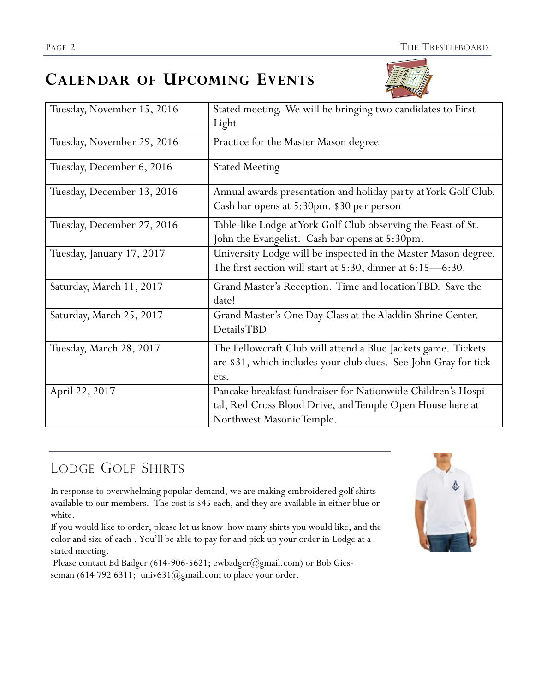# **CALENDAR OF UPCOMING EVENTS**



| Tuesday, November 15, 2016 | Stated meeting. We will be bringing two candidates to First<br>Light                                                                                    |
|----------------------------|---------------------------------------------------------------------------------------------------------------------------------------------------------|
| Tuesday, November 29, 2016 | Practice for the Master Mason degree                                                                                                                    |
| Tuesday, December 6, 2016  | <b>Stated Meeting</b>                                                                                                                                   |
| Tuesday, December 13, 2016 | Annual awards presentation and holiday party at York Golf Club.<br>Cash bar opens at 5:30pm. \$30 per person                                            |
| Tuesday, December 27, 2016 | Table-like Lodge at York Golf Club observing the Feast of St.<br>John the Evangelist. Cash bar opens at 5:30pm.                                         |
| Tuesday, January 17, 2017  | University Lodge will be inspected in the Master Mason degree.<br>The first section will start at $5:30$ , dinner at $6:15$ —6:30.                      |
| Saturday, March 11, 2017   | Grand Master's Reception. Time and location TBD. Save the<br>date!                                                                                      |
| Saturday, March 25, 2017   | Grand Master's One Day Class at the Aladdin Shrine Center.<br>Details TBD                                                                               |
| Tuesday, March 28, 2017    | The Fellowcraft Club will attend a Blue Jackets game. Tickets<br>are \$31, which includes your club dues. See John Gray for tick-<br>ets.               |
| April 22, 2017             | Pancake breakfast fundraiser for Nationwide Children's Hospi-<br>tal, Red Cross Blood Drive, and Temple Open House here at<br>Northwest Masonic Temple. |

# LODGE GOLF SHIRTS

In response to overwhelming popular demand, we are making embroidered golf shirts available to our members. The cost is \$45 each, and they are available in either blue or white.

If you would like to order, please let us know how many shirts you would like, and the color and size of each . You'll be able to pay for and pick up your order in Lodge at a stated meeting.

Please contact Ed Badger (614-906-5621; ewbadger@gmail.com) or Bob Giesseman (614 792 6311; univ631@gmail.com to place your order.

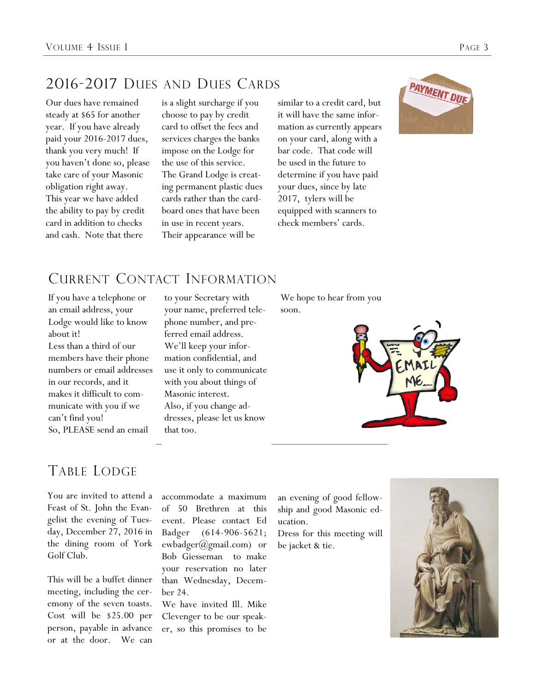# 2016-2017 DUES AND DUES CARDS

Our dues have remained steady at \$65 for another year. If you have already paid your 2016-2017 dues, thank you very much! If you haven't done so, please take care of your Masonic obligation right away. This year we have added the ability to pay by credit card in addition to checks and cash. Note that there

is a slight surcharge if you choose to pay by credit card to offset the fees and services charges the banks impose on the Lodge for the use of this service. The Grand Lodge is creating permanent plastic dues cards rather than the cardboard ones that have been in use in recent years. Their appearance will be

similar to a credit card, but it will have the same information as currently appears on your card, along with a bar code. That code will be used in the future to determine if you have paid your dues, since by late 2017, tylers will be equipped with scanners to check members' cards.



## CURRENT CONTACT INFORMATION

If you have a telephone or an email address, your Lodge would like to know about it! Less than a third of our members have their phone numbers or email addresses in our records, and it makes it difficult to communicate with you if we can't find you! So, PLEASE send an email

to your Secretary with your name, preferred telephone number, and preferred email address. We'll keep your information confidential, and use it only to communicate with you about things of Masonic interest. Also, if you change addresses, please let us know that too.

We hope to hear from you soon.



### TABLE LODGE

You are invited to attend a Feast of St. John the Evangelist the evening of Tuesday, December 27, 2016 in the dining room of York Golf Club.

This will be a buffet dinner meeting, including the ceremony of the seven toasts. Cost will be \$25.00 per person, payable in advance or at the door. We can

accommodate a maximum of 50 Brethren at this event. Please contact Ed Badger (614-906-5621; ewbadger@gmail.com) or Bob Giesseman to make your reservation no later than Wednesday, December 24.

We have invited Ill. Mike Clevenger to be our speaker, so this promises to be an evening of good fellowship and good Masonic education.

Dress for this meeting will be jacket & tie.